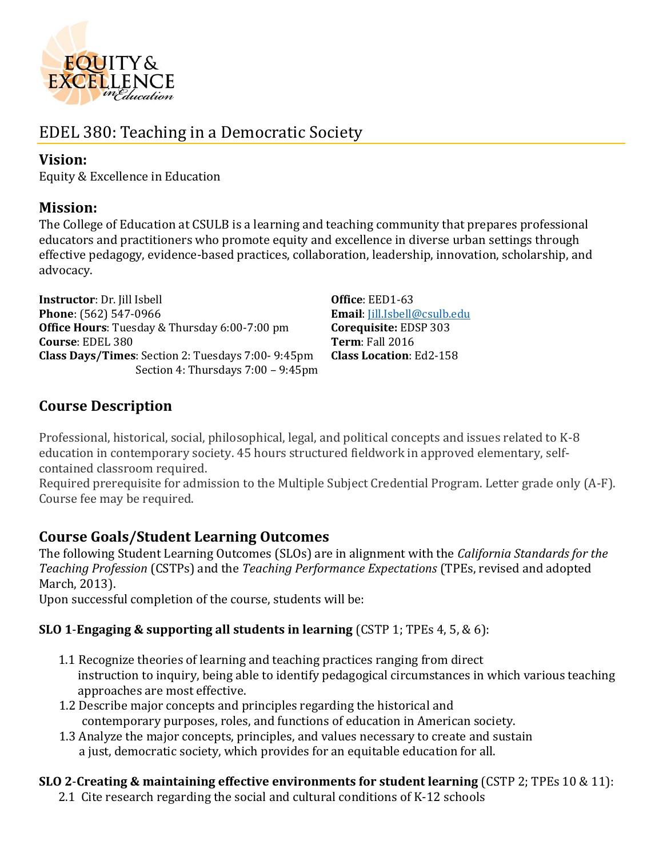

# EDEL 380: Teaching in a Democratic Society

## **Vision:**

Equity & Excellence in Education

### **Mission:**

The College of Education at CSULB is a learning and teaching community that prepares professional educators and practitioners who promote equity and excellence in diverse urban settings through effective pedagogy, evidence-based practices, collaboration, leadership, innovation, scholarship, and advocacy.

**Instructor**: Dr. Jill Isbell **Office**: EED1-63 **Phone**: (562) 547-0966 **Email**: [Jill.Isbell@csulb.edu](mailto:Jill.Isbell@csulb.edu) **Office Hours**: Tuesday & Thursday 6:00-7:00 pm **Corequisite:** EDSP 303 **Course**: EDEL 380 **Term**: Fall 2016 **Class Days/Times**: Section 2: Tuesdays 7:00- 9:45pm Section 4: Thursdays 7:00 – 9:45pm

**Class Location**: Ed2-158

# **Course Description**

Professional, historical, social, philosophical, legal, and political concepts and issues related to K-8 education in contemporary society. 45 hours structured fieldwork in approved elementary, selfcontained classroom required.

Required prerequisite for admission to the Multiple Subject Credential Program. Letter grade only (A-F). Course fee may be required.

# **Course Goals/Student Learning Outcomes**

The following Student Learning Outcomes (SLOs) are in alignment with the *California Standards for the Teaching Profession* (CSTPs) and the *Teaching Performance Expectations* (TPEs, revised and adopted March, 2013).

Upon successful completion of the course, students will be:

### **SLO 1**-**Engaging & supporting all students in learning** (CSTP 1; TPEs 4, 5, & 6):

- 1.1 Recognize theories of learning and teaching practices ranging from direct instruction to inquiry, being able to identify pedagogical circumstances in which various teaching approaches are most effective.
- 1.2 Describe major concepts and principles regarding the historical and contemporary purposes, roles, and functions of education in American society.
- 1.3 Analyze the major concepts, principles, and values necessary to create and sustain a just, democratic society, which provides for an equitable education for all.

### **SLO 2**-**Creating & maintaining effective environments for student learning** (CSTP 2; TPEs 10 & 11):

2.1 Cite research regarding the social and cultural conditions of K-12 schools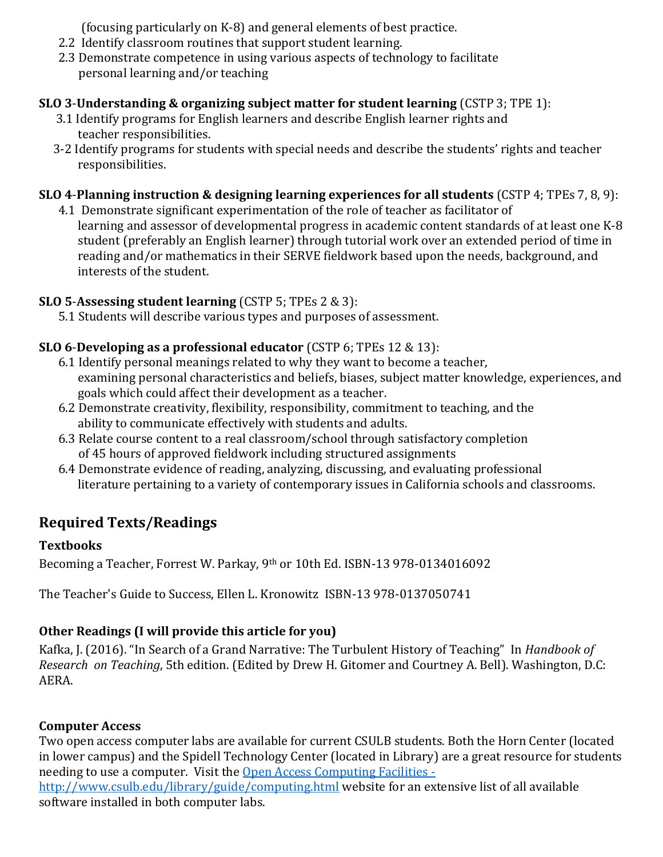(focusing particularly on K-8) and general elements of best practice.

- 2.2 Identify classroom routines that support student learning.
- 2.3 Demonstrate competence in using various aspects of technology to facilitate personal learning and/or teaching

### **SLO 3**-**Understanding & organizing subject matter for student learning** (CSTP 3; TPE 1):

- 3.1 Identify programs for English learners and describe English learner rights and teacher responsibilities.
- 3-2 Identify programs for students with special needs and describe the students' rights and teacher responsibilities.

# **SLO 4**-**Planning instruction & designing learning experiences for all students** (CSTP 4; TPEs 7, 8, 9):

4.1 Demonstrate significant experimentation of the role of teacher as facilitator of learning and assessor of developmental progress in academic content standards of at least one K-8 student (preferably an English learner) through tutorial work over an extended period of time in reading and/or mathematics in their SERVE fieldwork based upon the needs, background, and interests of the student.

# **SLO 5**-**Assessing student learning** (CSTP 5; TPEs 2 & 3):

5.1 Students will describe various types and purposes of assessment.

## **SLO 6**-**Developing as a professional educator** (CSTP 6; TPEs 12 & 13):

- 6.1 Identify personal meanings related to why they want to become a teacher, examining personal characteristics and beliefs, biases, subject matter knowledge, experiences, and goals which could affect their development as a teacher.
- 6.2 Demonstrate creativity, flexibility, responsibility, commitment to teaching, and the ability to communicate effectively with students and adults.
- 6.3 Relate course content to a real classroom/school through satisfactory completion of 45 hours of approved fieldwork including structured assignments
- 6.4 Demonstrate evidence of reading, analyzing, discussing, and evaluating professional literature pertaining to a variety of contemporary issues in California schools and classrooms.

# **Required Texts/Readings**

### **Textbooks**

Becoming a Teacher, Forrest W. Parkay, 9th or 10th Ed. ISBN-13 978-0134016092

The Teacher's Guide to Success, Ellen L. Kronowitz ISBN-13 978-0137050741

# **Other Readings (I will provide this article for you)**

Kafka, J. (2016). "In Search of a Grand Narrative: The Turbulent History of Teaching" In *Handbook of Research on Teaching*, 5th edition. (Edited by Drew H. Gitomer and Courtney A. Bell). Washington, D.C: AERA.

# **Computer Access**

Two open access computer labs are available for current CSULB students. Both the Horn Center (located in lower campus) and the Spidell Technology Center (located in Library) are a great resource for students needing to use a computer. Visit the [Open Access Computing Facilities](http://www.csulb.edu/library/guide/computing.html)  <http://www.csulb.edu/library/guide/computing.html> website for an extensive list of all available software installed in both computer labs.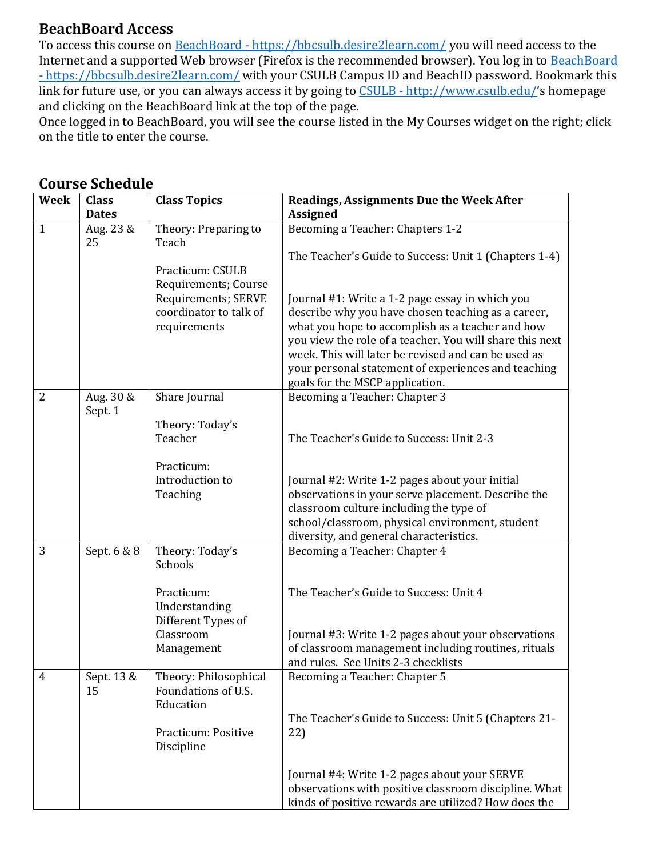# **BeachBoard Access**

To access this course on BeachBoard - <https://bbcsulb.desire2learn.com/> you will need access to the Internet and a supported Web browser (Firefox is the recommended browser). You log in to [BeachBoard](https://bbcsulb.desire2learn.com/)  - <https://bbcsulb.desire2learn.com/> with your CSULB Campus ID and BeachID password. Bookmark this link for future use, or you can always access it by going to CSULB - <http://www.csulb.edu/>'s homepage and clicking on the BeachBoard link at the top of the page.

Once logged in to BeachBoard, you will see the course listed in the My Courses widget on the right; click on the title to enter the course.

| <b>Week</b>    | <b>Class</b>                    | <b>Class Topics</b>                                                                                                                        | <b>Readings, Assignments Due the Week After</b>                                                                                                                                                                                                                                                                                                                                                                                                     |
|----------------|---------------------------------|--------------------------------------------------------------------------------------------------------------------------------------------|-----------------------------------------------------------------------------------------------------------------------------------------------------------------------------------------------------------------------------------------------------------------------------------------------------------------------------------------------------------------------------------------------------------------------------------------------------|
| $\mathbf{1}$   | <b>Dates</b><br>Aug. 23 &<br>25 | Theory: Preparing to<br>Teach<br>Practicum: CSULB<br>Requirements; Course<br>Requirements; SERVE<br>coordinator to talk of<br>requirements | <b>Assigned</b><br>Becoming a Teacher: Chapters 1-2<br>The Teacher's Guide to Success: Unit 1 (Chapters 1-4)<br>Journal #1: Write a 1-2 page essay in which you<br>describe why you have chosen teaching as a career,<br>what you hope to accomplish as a teacher and how<br>you view the role of a teacher. You will share this next<br>week. This will later be revised and can be used as<br>your personal statement of experiences and teaching |
| $\overline{2}$ | Aug. 30 &<br>Sept. 1            | Share Journal<br>Theory: Today's<br>Teacher<br>Practicum:<br>Introduction to<br>Teaching                                                   | goals for the MSCP application.<br>Becoming a Teacher: Chapter 3<br>The Teacher's Guide to Success: Unit 2-3<br>Journal #2: Write 1-2 pages about your initial<br>observations in your serve placement. Describe the<br>classroom culture including the type of                                                                                                                                                                                     |
|                |                                 |                                                                                                                                            | school/classroom, physical environment, student<br>diversity, and general characteristics.                                                                                                                                                                                                                                                                                                                                                          |
| 3              | Sept. 6 & 8                     | Theory: Today's<br>Schools<br>Practicum:<br>Understanding<br>Different Types of<br>Classroom<br>Management                                 | Becoming a Teacher: Chapter 4<br>The Teacher's Guide to Success: Unit 4<br>Journal #3: Write 1-2 pages about your observations<br>of classroom management including routines, rituals<br>and rules. See Units 2-3 checklists                                                                                                                                                                                                                        |
| 4              | Sept. 13 &<br>15                | Theory: Philosophical<br>Foundations of U.S.<br>Education<br>Practicum: Positive<br>Discipline                                             | Becoming a Teacher: Chapter 5<br>The Teacher's Guide to Success: Unit 5 (Chapters 21-<br>22)<br>Journal #4: Write 1-2 pages about your SERVE<br>observations with positive classroom discipline. What<br>kinds of positive rewards are utilized? How does the                                                                                                                                                                                       |

### **Course Schedule**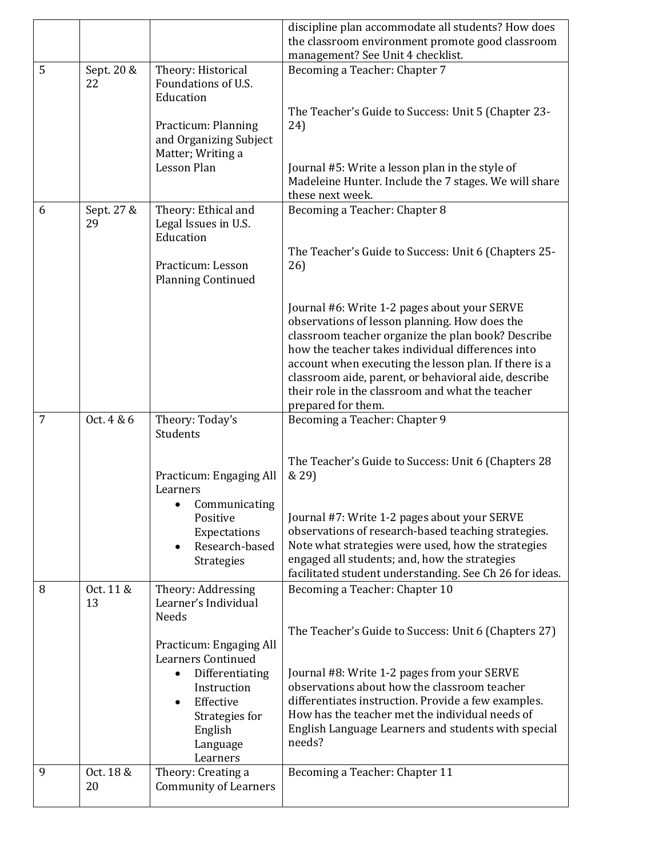|                |                  |                                                                                                                                                         | discipline plan accommodate all students? How does                                                                                                                                                                                                                                                                                                                                                  |
|----------------|------------------|---------------------------------------------------------------------------------------------------------------------------------------------------------|-----------------------------------------------------------------------------------------------------------------------------------------------------------------------------------------------------------------------------------------------------------------------------------------------------------------------------------------------------------------------------------------------------|
|                |                  |                                                                                                                                                         | the classroom environment promote good classroom                                                                                                                                                                                                                                                                                                                                                    |
|                |                  |                                                                                                                                                         | management? See Unit 4 checklist.                                                                                                                                                                                                                                                                                                                                                                   |
| 5              | Sept. 20 &<br>22 | Theory: Historical<br>Foundations of U.S.<br>Education                                                                                                  | Becoming a Teacher: Chapter 7                                                                                                                                                                                                                                                                                                                                                                       |
|                |                  | Practicum: Planning                                                                                                                                     | The Teacher's Guide to Success: Unit 5 (Chapter 23-                                                                                                                                                                                                                                                                                                                                                 |
|                |                  | and Organizing Subject<br>Matter; Writing a                                                                                                             | 24)                                                                                                                                                                                                                                                                                                                                                                                                 |
|                |                  | Lesson Plan                                                                                                                                             | Journal #5: Write a lesson plan in the style of<br>Madeleine Hunter. Include the 7 stages. We will share<br>these next week.                                                                                                                                                                                                                                                                        |
| 6              | Sept. 27 &<br>29 | Theory: Ethical and<br>Legal Issues in U.S.<br>Education                                                                                                | Becoming a Teacher: Chapter 8                                                                                                                                                                                                                                                                                                                                                                       |
|                |                  | Practicum: Lesson<br><b>Planning Continued</b>                                                                                                          | The Teacher's Guide to Success: Unit 6 (Chapters 25-<br>26)                                                                                                                                                                                                                                                                                                                                         |
|                |                  |                                                                                                                                                         | Journal #6: Write 1-2 pages about your SERVE<br>observations of lesson planning. How does the<br>classroom teacher organize the plan book? Describe<br>how the teacher takes individual differences into<br>account when executing the lesson plan. If there is a<br>classroom aide, parent, or behavioral aide, describe<br>their role in the classroom and what the teacher<br>prepared for them. |
| $\overline{7}$ | Oct. 4 & 6       | Theory: Today's                                                                                                                                         | Becoming a Teacher: Chapter 9                                                                                                                                                                                                                                                                                                                                                                       |
|                |                  | Students                                                                                                                                                |                                                                                                                                                                                                                                                                                                                                                                                                     |
|                |                  | Practicum: Engaging All<br>Learners                                                                                                                     | The Teacher's Guide to Success: Unit 6 (Chapters 28<br>& 29)                                                                                                                                                                                                                                                                                                                                        |
|                |                  | • Communicating<br>Positive<br>Expectations<br>Research-based<br>Strategies                                                                             | Journal #7: Write 1-2 pages about your SERVE<br>observations of research-based teaching strategies.<br>Note what strategies were used, how the strategies<br>engaged all students; and, how the strategies<br>facilitated student understanding. See Ch 26 for ideas.                                                                                                                               |
| 8              | Oct. 11 &<br>13  | Theory: Addressing<br>Learner's Individual<br>Needs                                                                                                     | Becoming a Teacher: Chapter 10                                                                                                                                                                                                                                                                                                                                                                      |
|                |                  | Practicum: Engaging All                                                                                                                                 | The Teacher's Guide to Success: Unit 6 (Chapters 27)                                                                                                                                                                                                                                                                                                                                                |
|                |                  | <b>Learners Continued</b><br>Differentiating<br>$\bullet$<br>Instruction<br>Effective<br>$\bullet$<br>Strategies for<br>English<br>Language<br>Learners | Journal #8: Write 1-2 pages from your SERVE<br>observations about how the classroom teacher<br>differentiates instruction. Provide a few examples.<br>How has the teacher met the individual needs of<br>English Language Learners and students with special<br>needs?                                                                                                                              |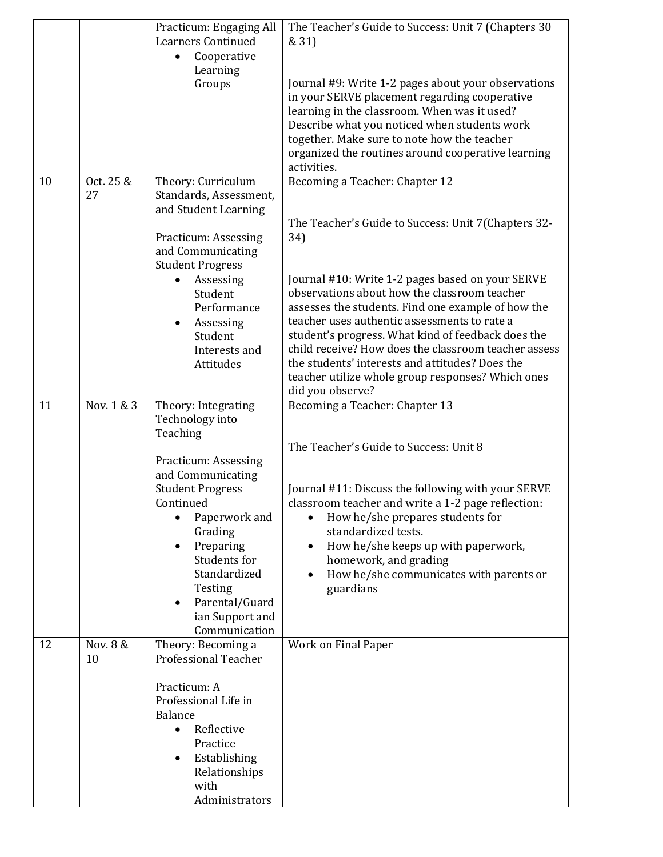|    |                 | Practicum: Engaging All<br><b>Learners Continued</b><br>Cooperative<br>$\bullet$<br>Learning<br>Groups                                                                                                                                                                                                      | The Teacher's Guide to Success: Unit 7 (Chapters 30<br>& 31)<br>Journal #9: Write 1-2 pages about your observations<br>in your SERVE placement regarding cooperative<br>learning in the classroom. When was it used?<br>Describe what you noticed when students work<br>together. Make sure to note how the teacher<br>organized the routines around cooperative learning<br>activities.                                                                                                                                                         |
|----|-----------------|-------------------------------------------------------------------------------------------------------------------------------------------------------------------------------------------------------------------------------------------------------------------------------------------------------------|--------------------------------------------------------------------------------------------------------------------------------------------------------------------------------------------------------------------------------------------------------------------------------------------------------------------------------------------------------------------------------------------------------------------------------------------------------------------------------------------------------------------------------------------------|
| 10 | Oct. 25 &<br>27 | Theory: Curriculum<br>Standards, Assessment,<br>and Student Learning<br>Practicum: Assessing<br>and Communicating<br><b>Student Progress</b><br>Assessing<br>Student<br>Performance<br>Assessing<br>Student<br>Interests and<br>Attitudes                                                                   | Becoming a Teacher: Chapter 12<br>The Teacher's Guide to Success: Unit 7(Chapters 32-<br>34)<br>Journal #10: Write 1-2 pages based on your SERVE<br>observations about how the classroom teacher<br>assesses the students. Find one example of how the<br>teacher uses authentic assessments to rate a<br>student's progress. What kind of feedback does the<br>child receive? How does the classroom teacher assess<br>the students' interests and attitudes? Does the<br>teacher utilize whole group responses? Which ones<br>did you observe? |
| 11 | Nov. 1 & 3      | Theory: Integrating<br>Technology into<br>Teaching<br>Practicum: Assessing<br>and Communicating<br><b>Student Progress</b><br>Continued<br>Paperwork and<br>$\bullet$<br>Grading<br>Preparing<br>Students for<br>Standardized<br>Testing<br>Parental/Guard<br>$\bullet$<br>ian Support and<br>Communication | Becoming a Teacher: Chapter 13<br>The Teacher's Guide to Success: Unit 8<br>Journal #11: Discuss the following with your SERVE<br>classroom teacher and write a 1-2 page reflection:<br>How he/she prepares students for<br>$\bullet$<br>standardized tests.<br>How he/she keeps up with paperwork,<br>$\bullet$<br>homework, and grading<br>How he/she communicates with parents or<br>$\bullet$<br>guardians                                                                                                                                   |
| 12 | Nov. 8 &<br>10  | Theory: Becoming a<br><b>Professional Teacher</b><br>Practicum: A<br>Professional Life in<br><b>Balance</b><br>Reflective<br>$\bullet$<br>Practice<br>Establishing<br>Relationships<br>with<br>Administrators                                                                                               | Work on Final Paper                                                                                                                                                                                                                                                                                                                                                                                                                                                                                                                              |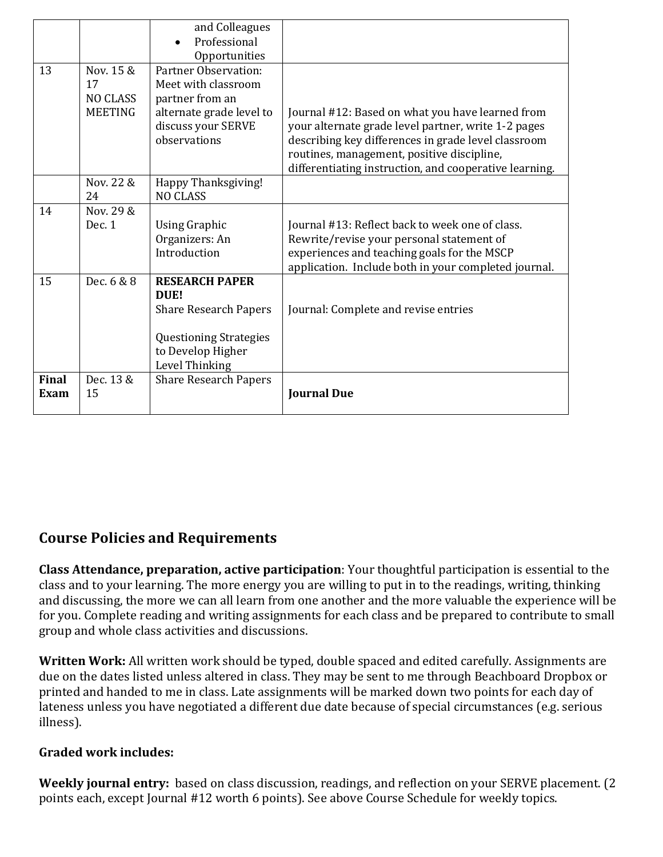|              |                 | and Colleagues                         |                                                                                                   |
|--------------|-----------------|----------------------------------------|---------------------------------------------------------------------------------------------------|
|              |                 | Professional                           |                                                                                                   |
|              |                 | Opportunities                          |                                                                                                   |
| 13           | Nov. 15 &       | Partner Observation:                   |                                                                                                   |
|              | 17              | Meet with classroom                    |                                                                                                   |
|              | <b>NO CLASS</b> | partner from an                        |                                                                                                   |
|              | <b>MEETING</b>  | alternate grade level to               | Journal #12: Based on what you have learned from                                                  |
|              |                 | discuss your SERVE<br>observations     | your alternate grade level partner, write 1-2 pages                                               |
|              |                 |                                        | describing key differences in grade level classroom<br>routines, management, positive discipline, |
|              |                 |                                        | differentiating instruction, and cooperative learning.                                            |
|              | Nov. 22 &       |                                        |                                                                                                   |
|              | 24              | Happy Thanksgiving!<br><b>NO CLASS</b> |                                                                                                   |
| 14           | Nov. 29 &       |                                        |                                                                                                   |
|              | Dec. 1          | <b>Using Graphic</b>                   | Journal #13: Reflect back to week one of class.                                                   |
|              |                 | Organizers: An                         | Rewrite/revise your personal statement of                                                         |
|              |                 | Introduction                           | experiences and teaching goals for the MSCP                                                       |
|              |                 |                                        | application. Include both in your completed journal.                                              |
| 15           | Dec. 6 & 8      | <b>RESEARCH PAPER</b>                  |                                                                                                   |
|              |                 | DUE!                                   |                                                                                                   |
|              |                 | <b>Share Research Papers</b>           | Journal: Complete and revise entries                                                              |
|              |                 |                                        |                                                                                                   |
|              |                 | <b>Questioning Strategies</b>          |                                                                                                   |
|              |                 | to Develop Higher                      |                                                                                                   |
|              |                 | Level Thinking                         |                                                                                                   |
| <b>Final</b> | Dec. 13 &       | <b>Share Research Papers</b>           |                                                                                                   |
| Exam         | 15              |                                        | <b>Journal Due</b>                                                                                |
|              |                 |                                        |                                                                                                   |

# **Course Policies and Requirements**

**Class Attendance, preparation, active participation**: Your thoughtful participation is essential to the class and to your learning. The more energy you are willing to put in to the readings, writing, thinking and discussing, the more we can all learn from one another and the more valuable the experience will be for you. Complete reading and writing assignments for each class and be prepared to contribute to small group and whole class activities and discussions.

**Written Work:** All written work should be typed, double spaced and edited carefully. Assignments are due on the dates listed unless altered in class. They may be sent to me through Beachboard Dropbox or printed and handed to me in class. Late assignments will be marked down two points for each day of lateness unless you have negotiated a different due date because of special circumstances (e.g. serious illness).

#### **Graded work includes:**

**Weekly journal entry:** based on class discussion, readings, and reflection on your SERVE placement. (2 points each, except Journal #12 worth 6 points). See above Course Schedule for weekly topics.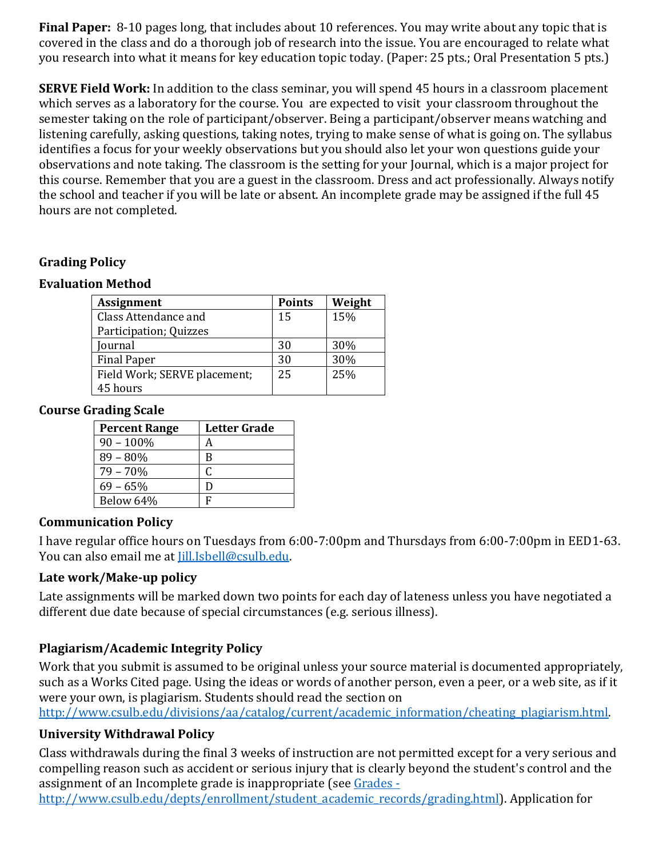**Final Paper:** 8-10 pages long, that includes about 10 references. You may write about any topic that is covered in the class and do a thorough job of research into the issue. You are encouraged to relate what you research into what it means for key education topic today. (Paper: 25 pts.; Oral Presentation 5 pts.)

**SERVE Field Work:** In addition to the class seminar, you will spend 45 hours in a classroom placement which serves as a laboratory for the course. You are expected to visit your classroom throughout the semester taking on the role of participant/observer. Being a participant/observer means watching and listening carefully, asking questions, taking notes, trying to make sense of what is going on. The syllabus identifies a focus for your weekly observations but you should also let your won questions guide your observations and note taking. The classroom is the setting for your Journal, which is a major project for this course. Remember that you are a guest in the classroom. Dress and act professionally. Always notify the school and teacher if you will be late or absent. An incomplete grade may be assigned if the full 45 hours are not completed.

### **Grading Policy**

#### **Evaluation Method**

| <b>Assignment</b>            | <b>Points</b> | Weight |
|------------------------------|---------------|--------|
| Class Attendance and         | 15            | 15%    |
| Participation; Quizzes       |               |        |
| Journal                      | 30            | 30%    |
| <b>Final Paper</b>           | 30            | 30%    |
| Field Work; SERVE placement; | 25            | 25%    |
| 45 hours                     |               |        |

#### **Course Grading Scale**

| <b>Percent Range</b> | <b>Letter Grade</b> |
|----------------------|---------------------|
| $90 - 100\%$         | А                   |
| 89 – 80%             | B                   |
| $79 - 70%$           |                     |
| $69 - 65\%$          | D                   |
| Below 64%            | F                   |

### **Communication Policy**

I have regular office hours on Tuesdays from 6:00-7:00pm and Thursdays from 6:00-7:00pm in EED1-63. You can also email me at [ill.Isbell@csulb.edu.

### **Late work/Make-up policy**

Late assignments will be marked down two points for each day of lateness unless you have negotiated a different due date because of special circumstances (e.g. serious illness).

### **Plagiarism/Academic Integrity Policy**

Work that you submit is assumed to be original unless your source material is documented appropriately, such as a Works Cited page. Using the ideas or words of another person, even a peer, or a web site, as if it were your own, is plagiarism. Students should read the section on

[http://www.csulb.edu/divisions/aa/catalog/current/academic\\_information/cheating\\_plagiarism.html.](http://www.csulb.edu/divisions/aa/catalog/current/academic_information/cheating_plagiarism.html)

### **University Withdrawal Policy**

Class withdrawals during the final 3 weeks of instruction are not permitted except for a very serious and compelling reason such as accident or serious injury that is clearly beyond the student's control and the assignment of an Incomplete grade is inappropriate (see [Grades -](http://www.csulb.edu/depts/enrollment/student_academic_records/grading.html)

[http://www.csulb.edu/depts/enrollment/student\\_academic\\_records/grading.html\)](http://www.csulb.edu/depts/enrollment/student_academic_records/grading.html). Application for